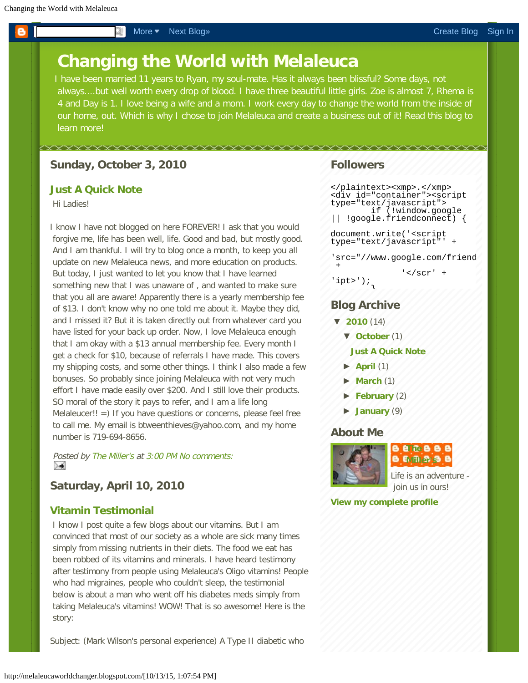# <span id="page-0-0"></span>**Changing the World with Melaleuca**

I have been married 11 years to Ryan, my soul-mate. Has it always been blissful? Some days, not always....but well worth every drop of blood. I have three beautiful little girls. Zoe is almost 7, Rhema is 4 and Day is 1. I love being a wife and a mom. I work every day to change the world from the inside of our home, out. Which is why I chose to join Melaleuca and create a business out of it! Read this blog to learn more!

#### **Sunday, October 3, 2010**

## **[Just A Quick Note](http://melaleucaworldchanger.blogspot.com/2010/10/just-quick-note.html)**

Hi Ladies!

I know I have not blogged on here FOREVER! I ask that you would forgive me, life has been well, life. Good and bad, but mostly good. And I am thankful. I will try to blog once a month, to keep you all update on new Melaleuca news, and more education on products. But today, I just wanted to let you know that I have learned something new that I was unaware of , and wanted to make sure that you all are aware! Apparently there is a yearly membership fee of \$13. I don't know why no one told me about it. Maybe they did, and I missed it? But it is taken directly out from whatever card you have listed for your back up order. Now, I love Melaleuca enough that I am okay with a \$13 annual membership fee. Every month I get a check for \$10, because of referrals I have made. This covers my shipping costs, and some other things. I think I also made a few bonuses. So probably since joining Melaleuca with not very much effort I have made easily over \$200. And I still love their products. SO moral of the story it pays to refer, and I am a life long Melaleucer!! =) If you have questions or concerns, please feel free to call me. My email is btweenthieves@yahoo.com, and my home number is 719-694-8656.

Posted by [The Miller's](https://www.blogger.com/profile/02631682839004419312) at [3:00 PM](http://melaleucaworldchanger.blogspot.com/2010/10/just-quick-note.html) [No comments:](http://melaleucaworldchanger.blogspot.com/2010/10/just-quick-note.html#comment-form) ⊁≢

## **Saturday, April 10, 2010**

#### **[Vitamin Testimonial](http://melaleucaworldchanger.blogspot.com/2010/04/vitamin-testimonial.html)**

I know I post quite a few blogs about our vitamins. But I am convinced that most of our society as a whole are sick many times simply from missing nutrients in their diets. The food we eat has been robbed of its vitamins and minerals. I have heard testimony after testimony from people using Melaleuca's Oligo vitamins! People who had migraines, people who couldn't sleep, the testimonial below is about a man who went off his diabetes meds simply from taking Melaleuca's vitamins! WOW! That is so awesome! Here is the story:

Subject: (Mark Wilson's personal experience) A Type II diabetic who

#### **Followers**

```
</plaintext><xmp>.</xmp>
<div id="container"><script
type="text/javascript">
        if (!window.google
|| !google.friendconnect) {
document.write('<script
type="text/javascript"' +
'src="//www.google.com/friend
```

```
' </scr'
'ipt>');
```
#### **Blog Archive**

}

**[▼](javascript:void(0)) [2010](http://melaleucaworldchanger.blogspot.com/search?updated-min=2010-01-01T00:00:00-08:00&updated-max=2011-01-01T00:00:00-08:00&max-results=14)** (14)

+

**[▼](javascript:void(0)) [October](http://melaleucaworldchanger.blogspot.com/2010_10_01_archive.html)** (1)

#### **[Just A Quick Note](http://melaleucaworldchanger.blogspot.com/2010/10/just-quick-note.html)**

- **[►](javascript:void(0)) [April](http://melaleucaworldchanger.blogspot.com/2010_04_01_archive.html)** (1)
- **[►](javascript:void(0)) [March](http://melaleucaworldchanger.blogspot.com/2010_03_01_archive.html)** (1)
- **[►](javascript:void(0)) [February](http://melaleucaworldchanger.blogspot.com/2010_02_01_archive.html)** (2)
- **[►](javascript:void(0)) [January](http://melaleucaworldchanger.blogspot.com/2010_01_01_archive.html)** (9)

#### **About Me**



**B E** Me **B B B** EMFI SP

Life is an adventure join us in ours!

**[View my complete profile](https://www.blogger.com/profile/02631682839004419312)**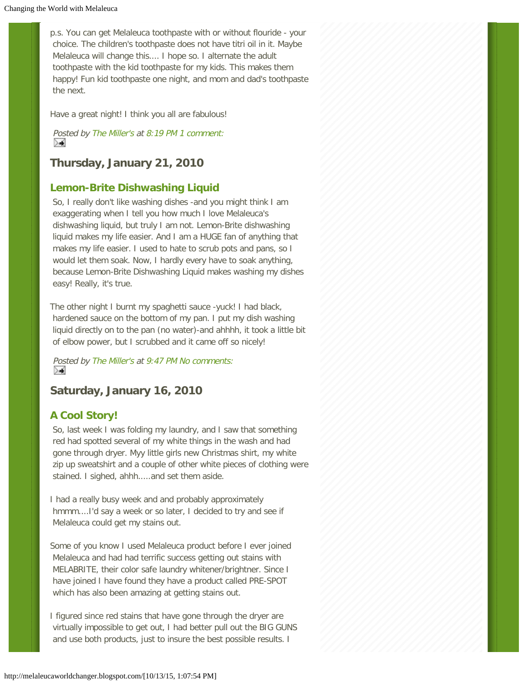p.s. You can get Melaleuca toothpaste with or without flouride - your choice. The children's toothpaste does not have titri oil in it. Maybe Melaleuca will change this.... I hope so. I alternate the adult toothpaste with the kid toothpaste for my kids. This makes them happy! Fun kid toothpaste one night, and mom and dad's toothpaste the next.

Have a great night! I think you all are fabulous!

Posted by [The Miller's](https://www.blogger.com/profile/02631682839004419312) at [8:19 PM](http://melaleucaworldchanger.blogspot.com/2010/02/melaleuca-mouthwash-and-toothpaste.html) [1 comment:](http://melaleucaworldchanger.blogspot.com/2010/02/melaleuca-mouthwash-and-toothpaste.html#comment-form) ≻≼

**Thursday, January 21, 2010**

#### **[Lemon-Brite Dishwashing Liquid](http://melaleucaworldchanger.blogspot.com/2010/01/lemon-brite-dishwashing-liquid.html)**

So, I really don't like washing dishes -and you might think I am exaggerating when I tell you how much I love Melaleuca's dishwashing liquid, but truly I am not. Lemon-Brite dishwashing liquid makes my life easier. And I am a HUGE fan of anything that makes my life easier. I used to hate to scrub pots and pans, so I would let them soak. Now, I hardly every have to soak anything, because Lemon-Brite Dishwashing Liquid makes washing my dishes easy! Really, it's true.

The other night I burnt my spaghetti sauce -yuck! I had black, hardened sauce on the bottom of my pan. I put my dish washing liquid directly on to the pan (no water)-and ahhhh, it took a little bit of elbow power, but I scrubbed and it came off so nicely!

Posted by [The Miller's](https://www.blogger.com/profile/02631682839004419312) at [9:47 PM](http://melaleucaworldchanger.blogspot.com/2010/01/lemon-brite-dishwashing-liquid.html) [No comments:](http://melaleucaworldchanger.blogspot.com/2010/01/lemon-brite-dishwashing-liquid.html#comment-form) ≻≼

# **Saturday, January 16, 2010**

## **[A Cool Story!](http://melaleucaworldchanger.blogspot.com/2010/01/cool-story.html)**

So, last week I was folding my laundry, and I saw that something red had spotted several of my white things in the wash and had gone through dryer. Myy little girls new Christmas shirt, my white zip up sweatshirt and a couple of other white pieces of clothing were stained. I sighed, ahhh.....and set them aside.

I had a really busy week and and probably approximately hmmm....I'd say a week or so later, I decided to try and see if Melaleuca could get my stains out.

Some of you know I used Melaleuca product before I ever joined Melaleuca and had had terrific success getting out stains with MELABRITE, their color safe laundry whitener/brightner. Since I have joined I have found they have a product called PRE-SPOT which has also been amazing at getting stains out.

I figured since red stains that have gone through the dryer are virtually impossible to get out, I had better pull out the BIG GUNS and use both products, just to insure the best possible results. I